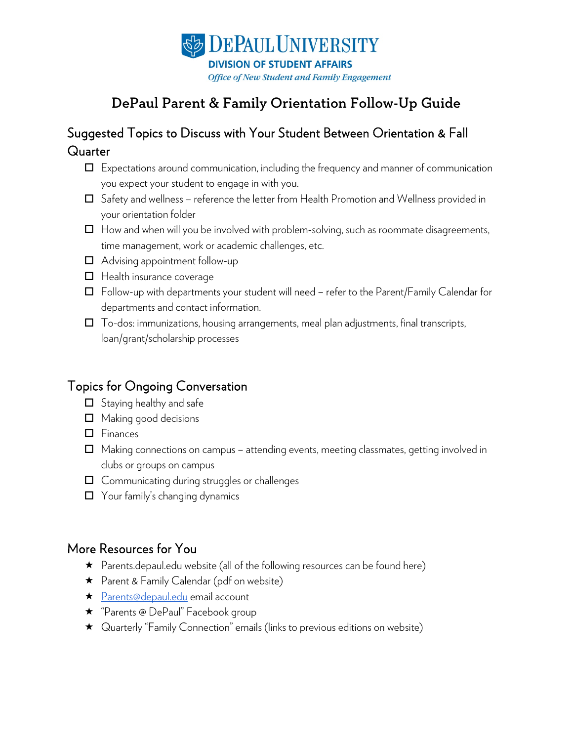

# DePaul Parent & Family Orientation Follow-Up Guide

## Suggested Topics to Discuss with Your Student Between Orientation & Fall **Quarter**

- $\Box$  Expectations around communication, including the frequency and manner of communication you expect your student to engage in with you.
- Safety and wellness reference the letter from Health Promotion and Wellness provided in your orientation folder
- $\Box$  How and when will you be involved with problem-solving, such as roommate disagreements, time management, work or academic challenges, etc.
- □ Advising appointment follow-up
- $\Box$  Health insurance coverage
- $\Box$  Follow-up with departments your student will need refer to the Parent/Family Calendar for departments and contact information.
- $\Box$  To-dos: immunizations, housing arrangements, meal plan adjustments, final transcripts, loan/grant/scholarship processes

#### Topics for Ongoing Conversation

- $\Box$  Staying healthy and safe
- Making good decisions
- Finances
- $\Box$  Making connections on campus attending events, meeting classmates, getting involved in clubs or groups on campus
- $\Box$  Communicating during struggles or challenges
- □ Your family's changing dynamics

### More Resources for You

- Parents.depaul.edu website (all of the following resources can be found here)
- ★ Parent & Family Calendar (pdf on website)
- ★ [Parents@depaul.edu](mailto:Parents@depaul.edu) email account
- ★ "Parents @ DePaul" Facebook group
- Quarterly "Family Connection" emails (links to previous editions on website)